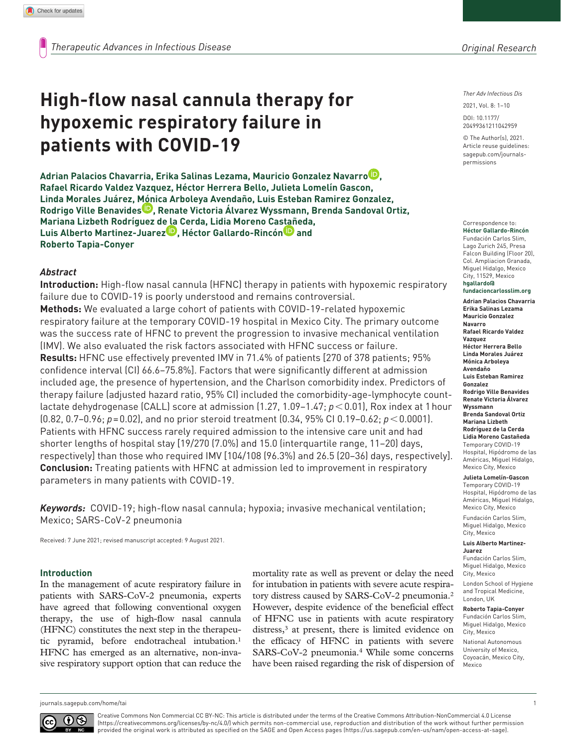# **High-flow nasal cannula therapy for hypoxemic respiratory failure in patients with COVID-19**

**Adrian Palacios Chavarria, Erika Salinas Lezama, Mauricio Gonzalez Navarro , Rafael Ricardo Valdez Vazquez, Héctor Herrera Bello, Julieta Lomelín Gascon, Linda Morales Juárez, Mónica Arboleya Avendaño, Luis Esteban Ramirez Gonzalez, Rodrigo Ville Benavides , Renate Victoria Álvarez Wyssmann, Brenda Sandoval Ortiz, Mariana Lizbeth Rodríguez de la Cerda, Lidia Moreno Castañeda,**  Luis Alberto Martinez-Juarez<sup>D</sup>, Héctor Gallardo-Rincón<sup>D</sup> and **Roberto Tapia-Conyer**

# *Abstract*

**Introduction:** High-flow nasal cannula (HFNC) therapy in patients with hypoxemic respiratory failure due to COVID-19 is poorly understood and remains controversial. **Methods:** We evaluated a large cohort of patients with COVID-19-related hypoxemic respiratory failure at the temporary COVID-19 hospital in Mexico City. The primary outcome was the success rate of HFNC to prevent the progression to invasive mechanical ventilation (IMV). We also evaluated the risk factors associated with HFNC success or failure. **Results:** HFNC use effectively prevented IMV in 71.4% of patients [270 of 378 patients; 95% confidence interval (CI) 66.6–75.8%]. Factors that were significantly different at admission included age, the presence of hypertension, and the Charlson comorbidity index. Predictors of therapy failure (adjusted hazard ratio, 95% CI) included the comorbidity-age-lymphocyte countlactate dehydrogenase (CALL) score at admission (1.27, 1.09–1.47; *p*<0.01), Rox index at 1hour (0.82, 0.7–0.96; *p*=0.02), and no prior steroid treatment (0.34, 95% CI 0.19–0.62; *p*<0.0001). Patients with HFNC success rarely required admission to the intensive care unit and had shorter lengths of hospital stay [19/270 (7.0%) and 15.0 (interquartile range, 11–20) days, respectively] than those who required IMV [104/108 (96.3%) and 26.5 (20–36) days, respectively]. **Conclusion:** Treating patients with HFNC at admission led to improvement in respiratory parameters in many patients with COVID-19.

*Keywords:* COVID-19; high-flow nasal cannula; hypoxia; invasive mechanical ventilation; Mexico; SARS-CoV-2 pneumonia

Received: 7 June 2021; revised manuscript accepted: 9 August 2021.

## **Introduction**

In the management of acute respiratory failure in patients with SARS-CoV-2 pneumonia, experts have agreed that following conventional oxygen therapy, the use of high-flow nasal cannula (HFNC) constitutes the next step in the therapeutic pyramid, before endotracheal intubation.1 HFNC has emerged as an alternative, non-invasive respiratory support option that can reduce the mortality rate as well as prevent or delay the need for intubation in patients with severe acute respiratory distress caused by SARS-CoV-2 pneumonia.2 However, despite evidence of the beneficial effect of HFNC use in patients with acute respiratory distress,<sup>3</sup> at present, there is limited evidence on the efficacy of HFNC in patients with severe SARS-CoV-2 pneumonia.4 While some concerns have been raised regarding the risk of dispersion of *Ther Adv Infectious Dis*

DOI: 10.1177/ 2021, Vol. 8: 1–10

© The Author(s), 2021. Article reuse guidelines: [sagepub.com/journals](https://uk.sagepub.com/en-gb/journals-permissions)[permissions](https://uk.sagepub.com/en-gb/journals-permissions)

20499361211042959

#### Correspondence to: **Héctor Gallardo-Rincón**

Fundación Carlos Slim, Lago Zurich 245, Presa Falcon Building (Floor 20), Col. Ampliacion Granada, Miguel Hidalgo, Mexico City, 11529, Mexico **[hgallardo@](mailto:hgallardo@fundacioncarlosslim.org) [fundacioncarlosslim.org](mailto:hgallardo@fundacioncarlosslim.org) Adrian Palacios Chavarria Erika Salinas Lezama Mauricio Gonzalez Navarro Rafael Ricardo Valdez Vazquez Héctor Herrera Bello Linda Morales Juárez Mónica Arboleya Avendaño Luis Esteban Ramirez Gonzalez Rodrigo Ville Benavides Renate Victoria Álvarez Wyssmann Brenda Sandoval Ortiz Mariana Lizbeth Rodríguez de la Cerda Lidia Moreno Castañeda** Temporary COVID-19 Hospital, Hipódromo de las

#### Américas, Miguel Hidalgo, Mexico City, Mexico

**Julieta Lomelín-Gascon** Temporary COVID-19

Hospital, Hipódromo de las Américas, Miguel Hidalgo, Mexico City, Mexico

Fundación Carlos Slim, Miguel Hidalgo, Mexico City, Mexico

#### **Luis Alberto Martinez-Juarez**

Fundación Carlos Slim, Miguel Hidalgo, Mexico City, Mexico

London School of Hygiene and Tropical Medicine, London, UK

#### **Roberto Tapia-Conyer** Fundación Carlos Slim, Miguel Hidalgo, Mexico

City, Mexico National Autonomous University of Mexico, Coyoacán, Mexico City, Mexico

[journals.sagepub.com/home/tai](https://journals.sagepub.com/home/tai) 1



Creative Commons Non Commercial CC BY-NC: This article is distributed under the terms of the Creative Commons Attribution-NonCommercial 4.0 License (https://creativecommons.org/licenses/by-nc/4.0/) which permits non-commercial use, reproduction and distribution of the work without further permission provided the original work is attributed as specified on the SAGE and Open Access pages (https://us.sagepub.com/en-us/nam/open-access-at-sage).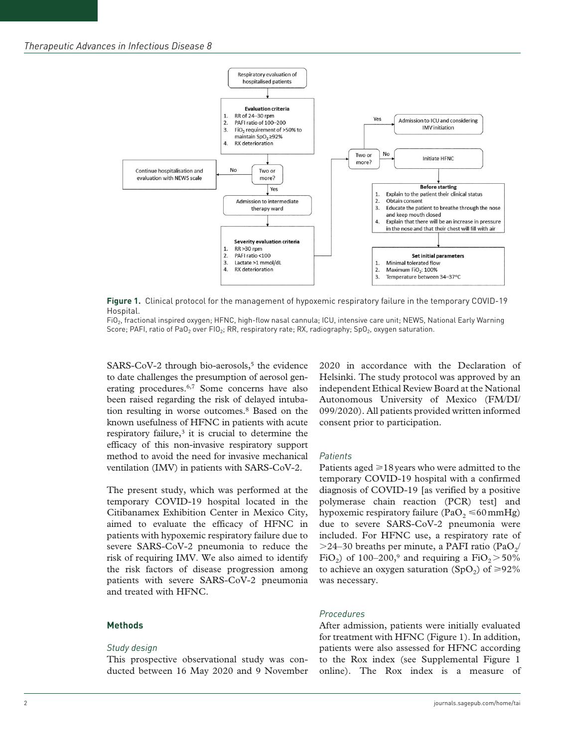

**Figure 1.** Clinical protocol for the management of hypoxemic respiratory failure in the temporary COVID-19 **Hospital** 

FiO<sub>2</sub>, fractional inspired oxygen; HFNC, high-flow nasal cannula; ICU, intensive care unit; NEWS, National Early Warning Score; PAFI, ratio of PaO<sub>2</sub> over FIO<sub>2</sub>; RR, respiratory rate; RX, radiography; SpO<sub>2</sub>, oxygen saturation.

SARS-CoV-2 through bio-aerosols, $5$  the evidence to date challenges the presumption of aerosol generating procedures.6,7 Some concerns have also been raised regarding the risk of delayed intubation resulting in worse outcomes.8 Based on the known usefulness of HFNC in patients with acute respiratory failure,<sup>3</sup> it is crucial to determine the efficacy of this non-invasive respiratory support method to avoid the need for invasive mechanical ventilation (IMV) in patients with SARS-CoV-2.

The present study, which was performed at the temporary COVID-19 hospital located in the Citibanamex Exhibition Center in Mexico City, aimed to evaluate the efficacy of HFNC in patients with hypoxemic respiratory failure due to severe SARS-CoV-2 pneumonia to reduce the risk of requiring IMV. We also aimed to identify the risk factors of disease progression among patients with severe SARS-CoV-2 pneumonia and treated with HFNC.

#### **Methods**

#### *Study design*

This prospective observational study was conducted between 16 May 2020 and 9 November 2020 in accordance with the Declaration of Helsinki. The study protocol was approved by an independent Ethical Review Board at the National Autonomous University of Mexico (FM/DI/ 099/2020). All patients provided written informed consent prior to participation.

#### *Patients*

Patients aged  $\geq 18$  years who were admitted to the temporary COVID-19 hospital with a confirmed diagnosis of COVID-19 [as verified by a positive polymerase chain reaction (PCR) test] and hypoxemic respiratory failure (PaO<sub>2</sub>  $\leq 60$  mmHg) due to severe SARS-CoV-2 pneumonia were included. For HFNC use, a respiratory rate of  $>$ 24–30 breaths per minute, a PAFI ratio (PaO<sub>2</sub>/ FiO<sub>2</sub>) of 100–200,<sup>9</sup> and requiring a FiO<sub>2</sub> $>50\%$ to achieve an oxygen saturation (SpO<sub>2</sub>) of  $\geq 92\%$ was necessary.

## *Procedures*

After admission, patients were initially evaluated for treatment with HFNC (Figure 1). In addition, patients were also assessed for HFNC according to the Rox index (see Supplemental Figure 1 online). The Rox index is a measure of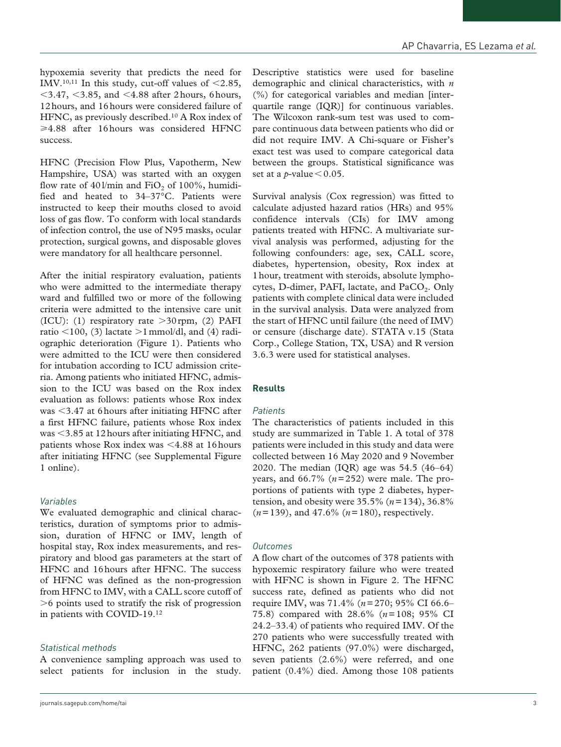hypoxemia severity that predicts the need for IMV.<sup>10,11</sup> In this study, cut-off values of  $\leq$ 2.85,  $<$  3.47,  $<$  3.85, and  $<$  4.88 after 2 hours, 6 hours, 12hours, and 16hours were considered failure of HFNC, as previously described.10 A Rox index of  $\geq 4.88$  after 16 hours was considered HFNC success.

HFNC (Precision Flow Plus, Vapotherm, New Hampshire, USA) was started with an oxygen flow rate of  $401/\text{min}$  and  $FiO<sub>2</sub>$  of 100%, humidified and heated to 34–37°C. Patients were instructed to keep their mouths closed to avoid loss of gas flow. To conform with local standards of infection control, the use of N95 masks, ocular protection, surgical gowns, and disposable gloves were mandatory for all healthcare personnel.

After the initial respiratory evaluation, patients who were admitted to the intermediate therapy ward and fulfilled two or more of the following criteria were admitted to the intensive care unit (ICU): (1) respiratory rate  $>30$  rpm, (2) PAFI ratio  $\leq$ 100, (3) lactate  $\geq$ 1 mmol/dl, and (4) radiographic deterioration (Figure 1). Patients who were admitted to the ICU were then considered for intubation according to ICU admission criteria. Among patients who initiated HFNC, admission to the ICU was based on the Rox index evaluation as follows: patients whose Rox index was <3.47 at 6hours after initiating HFNC after a first HFNC failure, patients whose Rox index was <3.85 at 12hours after initiating HFNC, and patients whose Rox index was <4.88 at 16hours after initiating HFNC (see Supplemental Figure 1 online).

# *Variables*

We evaluated demographic and clinical characteristics, duration of symptoms prior to admission, duration of HFNC or IMV, length of hospital stay, Rox index measurements, and respiratory and blood gas parameters at the start of HFNC and 16hours after HFNC. The success of HFNC was defined as the non-progression from HFNC to IMV, with a CALL score cutoff of >6 points used to stratify the risk of progression in patients with COVID-19.12

## *Statistical methods*

A convenience sampling approach was used to select patients for inclusion in the study. Descriptive statistics were used for baseline demographic and clinical characteristics, with *n* (%) for categorical variables and median [interquartile range (IQR)] for continuous variables. The Wilcoxon rank-sum test was used to compare continuous data between patients who did or did not require IMV. A Chi-square or Fisher's exact test was used to compare categorical data between the groups. Statistical significance was set at a *p*-value  $< 0.05$ .

Survival analysis (Cox regression) was fitted to calculate adjusted hazard ratios (HRs) and 95% confidence intervals (CIs) for IMV among patients treated with HFNC. A multivariate survival analysis was performed, adjusting for the following confounders: age, sex, CALL score, diabetes, hypertension, obesity, Rox index at 1hour, treatment with steroids, absolute lymphocytes, D-dimer, PAFI, lactate, and PaCO<sub>2</sub>. Only patients with complete clinical data were included in the survival analysis. Data were analyzed from the start of HFNC until failure (the need of IMV) or censure (discharge date). STATA v.15 (Stata Corp., College Station, TX, USA) and R version 3.6.3 were used for statistical analyses.

## **Results**

## *Patients*

The characteristics of patients included in this study are summarized in Table 1. A total of 378 patients were included in this study and data were collected between 16 May 2020 and 9 November 2020. The median (IQR) age was 54.5 (46–64) years, and 66.7% (*n*=252) were male. The proportions of patients with type 2 diabetes, hypertension, and obesity were 35.5% (*n*=134), 36.8% (*n*=139), and 47.6% (*n*=180), respectively.

## *Outcomes*

A flow chart of the outcomes of 378 patients with hypoxemic respiratory failure who were treated with HFNC is shown in Figure 2. The HFNC success rate, defined as patients who did not require IMV, was 71.4% (*n*=270; 95% CI 66.6– 75.8) compared with 28.6% (*n*=108; 95% CI 24.2–33.4) of patients who required IMV. Of the 270 patients who were successfully treated with HFNC, 262 patients (97.0%) were discharged, seven patients (2.6%) were referred, and one patient (0.4%) died. Among those 108 patients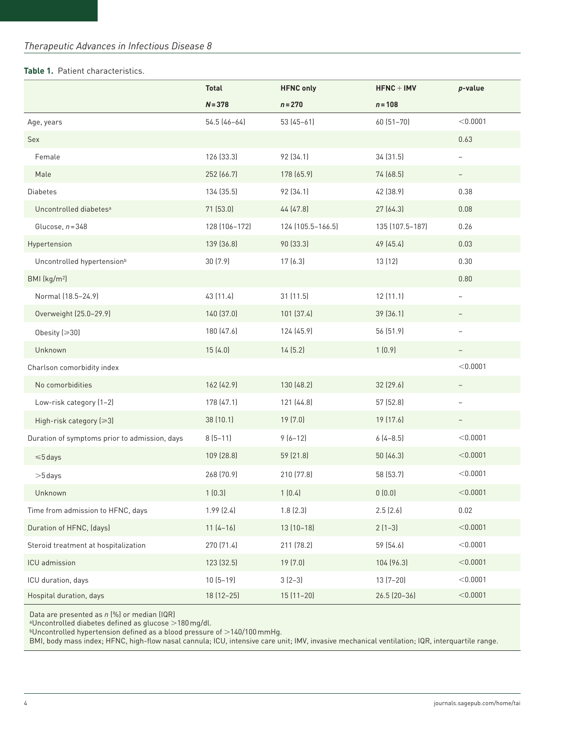# **Table 1.** Patient characteristics.

|                                               | <b>Total</b>  | <b>HFNC only</b>  | $HFNC + IMV$    | p-value                  |
|-----------------------------------------------|---------------|-------------------|-----------------|--------------------------|
|                                               | $N = 378$     | $n = 270$         | $n = 108$       |                          |
| Age, years                                    | 54.5 (46-64)  | $53(45-61)$       | 60 (51-70)      | < 0.0001                 |
| Sex                                           |               |                   |                 | 0.63                     |
| Female                                        | 126 (33.3)    | 92 (34.1)         | 34 (31.5)       | $\overline{\phantom{0}}$ |
| Male                                          | 252 (66.7)    | 178 (65.9)        | 74 (68.5)       |                          |
| <b>Diabetes</b>                               | 134 (35.5)    | 92 (34.1)         | 42 (38.9)       | 0.38                     |
| Uncontrolled diabetes <sup>a</sup>            | 71 (53.0)     | 44 (47.8)         | 27 (64.3)       | 0.08                     |
| Glucose, $n = 348$                            | 128 (106-172) | 124 (105.5-166.5) | 135 (107.5-187) | 0.26                     |
| Hypertension                                  | 139 (36.8)    | 90 (33.3)         | 49 (45.4)       | 0.03                     |
| Uncontrolled hypertension <sup>b</sup>        | 30(7.9)       | 17(6.3)           | 13 (12)         | 0.30                     |
| BMI (kg/m <sup>2</sup> )                      |               |                   |                 | 0.80                     |
| Normal (18.5-24.9)                            | 43 (11.4)     | 31 (11.5)         | 12(11.1)        | $\overline{\phantom{0}}$ |
| Overweight (25.0-29.9)                        | 140 (37.0)    | 101 (37.4)        | 39 (36.1)       |                          |
| Obesity $[30]$                                | 180 (47.6)    | 124 (45.9)        | 56 (51.9)       | $\overline{\phantom{0}}$ |
| Unknown                                       | 15(4.0)       | 14(5.2)           | 1(0.9)          |                          |
| Charlson comorbidity index                    |               |                   |                 | < 0.0001                 |
| No comorbidities                              | 162 (42.9)    | 130 (48.2)        | 32 (29.6)       | $\overline{\phantom{0}}$ |
| Low-risk category (1-2)                       | 178 (47.1)    | 121 (44.8)        | 57 (52.8)       | -                        |
| High-risk category (≥3)                       | 38 (10.1)     | 19 (7.0)          | 19 (17.6)       | $\overline{\phantom{a}}$ |
| Duration of symptoms prior to admission, days | $8(5-11)$     | $9(6-12)$         | $6(4-8.5)$      | < 0.0001                 |
| $\leq 5$ days                                 | 109 (28.8)    | 59 (21.8)         | 50 (46.3)       | < 0.0001                 |
| $>5$ days                                     | 268 (70.9)    | 210 (77.8)        | 58 (53.7)       | < 0.0001                 |
| Unknown                                       | 1(0.3)        | 1(0.4)            | 0(0.0)          | < 0.0001                 |
| Time from admission to HFNC, days             | 1.99 (2.4)    | 1.8(2.3)          | 2.5(2.6)        | 0.02                     |
| Duration of HFNC, (days)                      | $11(4-16)$    | $13(10-18)$       | $2(1-3)$        | < 0.0001                 |
| Steroid treatment at hospitalization          | 270 (71.4)    | 211 (78.2)        | 59 (54.6)       | < 0.0001                 |
| ICU admission                                 | 123 (32.5)    | 19 (7.0)          | 104 (96.3)      | < 0.0001                 |
| ICU duration, days                            | $10(5-19)$    | $3(2-3)$          | $13(7-20)$      | < 0.0001                 |
| Hospital duration, days                       | 18 (12-25)    | $15(11-20)$       | $26.5$ (20-36)  | < 0.0001                 |

Data are presented as *n* (%) or median (IQR)

aUncontrolled diabetes defined as glucose >180mg/dl.

 $^{\rm b}$ Uncontrolled hypertension defined as a blood pressure of  $>$  140/100 mmHg.

BMI, body mass index; HFNC, high-flow nasal cannula; ICU, intensive care unit; IMV, invasive mechanical ventilation; IQR, interquartile range.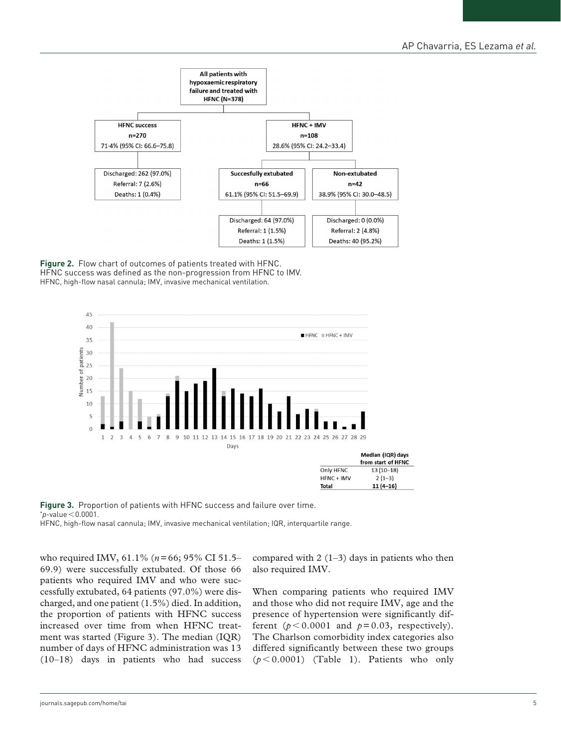

**Figure 2.** Flow chart of outcomes of patients treated with HFNC. HFNC success was defined as the non-progression from HFNC to IMV. HFNC, high-flow nasal cannula; IMV, invasive mechanical ventilation.



**Figure 3.** Proportion of patients with HFNC success and failure over time.  $p$ -value < 0.0001. HFNC, high-flow nasal cannula; IMV, invasive mechanical ventilation; IQR, interquartile range.

who required IMV, 61.1% (*n*=66; 95% CI 51.5– 69.9) were successfully extubated. Of those 66 patients who required IMV and who were successfully extubated, 64 patients (97.0%) were discharged, and one patient (1.5%) died. In addition, the proportion of patients with HFNC success increased over time from when HFNC treatment was started (Figure 3). The median (IQR) number of days of HFNC administration was 13 (10–18) days in patients who had success compared with  $2(1-3)$  days in patients who then also required IMV.

When comparing patients who required IMV and those who did not require IMV, age and the presence of hypertension were significantly different ( $p < 0.0001$  and  $p = 0.03$ , respectively). The Charlson comorbidity index categories also differed significantly between these two groups  $(p<0.0001)$  (Table 1). Patients who only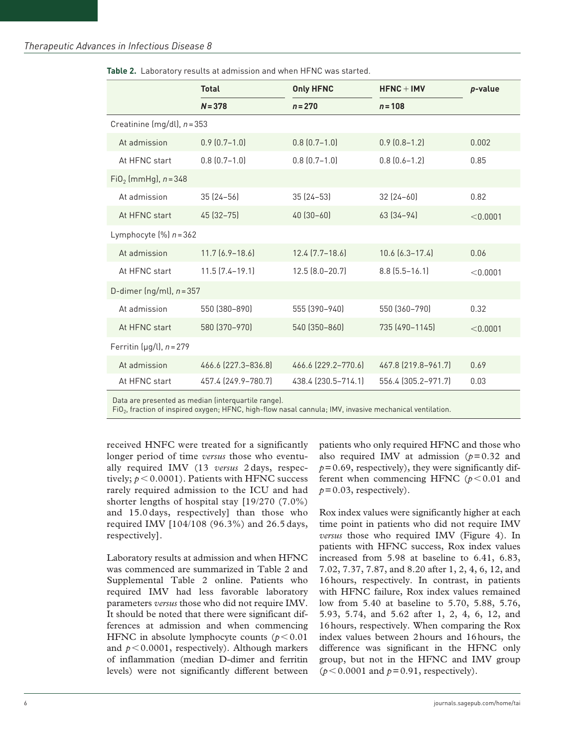|                                       | <b>Total</b>          | <b>Only HFNC</b>    | $HFNC + IMV$          | p-value  |  |  |
|---------------------------------------|-----------------------|---------------------|-----------------------|----------|--|--|
|                                       | $N = 378$             | $n = 270$           | $n = 108$             |          |  |  |
| Creatinine (mg/dl), $n = 353$         |                       |                     |                       |          |  |  |
| At admission                          | $0.9(0.7-1.0)$        | $0.8$ $(0.7 - 1.0)$ | $0.9(0.8-1.2)$        | 0.002    |  |  |
| At HFNC start                         | $0.8$ $(0.7 - 1.0)$   | $0.8$ $(0.7 - 1.0)$ | $0.8$ $(0.6 - 1.2)$   | 0.85     |  |  |
| $FiO2$ (mmHg), $n = 348$              |                       |                     |                       |          |  |  |
| At admission                          | $35(24 - 56)$         | $35(24-53)$         | $32(24-60)$           | 0.82     |  |  |
| At HFNC start                         | 45 (32 - 75)          | $40(30-60)$         | $63[34-94]$           | < 0.0001 |  |  |
| Lymphocyte $\left[\% \right]$ n = 362 |                       |                     |                       |          |  |  |
| At admission                          | $11.7$ $(6.9 - 18.6)$ | $12.4$ $(7.7-18.6)$ | $10.6$ $(6.3 - 17.4)$ | 0.06     |  |  |
| At HFNC start                         | $11.5$ $(7.4 - 19.1)$ | $12.5 [8.0 - 20.7]$ | $8.8$ (5.5-16.1)      | < 0.0001 |  |  |
| D-dimer (ng/ml), $n = 357$            |                       |                     |                       |          |  |  |
| At admission                          | 550 (380-890)         | 555 (390-940)       | 550 (360-790)         | 0.32     |  |  |
| At HFNC start                         | 580 (370-970)         | 540 (350-860)       | 735 (490-1145)        | < 0.0001 |  |  |
| Ferritin ( $\mu$ g/l), n = 279        |                       |                     |                       |          |  |  |
| At admission                          | 466.6 (227.3-836.8)   | 466.6 (229.2-770.6) | 467.8 (219.8-961.7)   | 0.69     |  |  |
| At HFNC start                         | 457.4 (249.9-780.7)   | 438.4 (230.5-714.1) | 556.4 (305.2-971.7)   | 0.03     |  |  |

**Table 2.** Laboratory results at admission and when HFNC was started.

Data are presented as median (interquartile range).

FiO<sub>2</sub>, fraction of inspired oxygen; HFNC, high-flow nasal cannula; IMV, invasive mechanical ventilation.

received HNFC were treated for a significantly longer period of time *versus* those who eventually required IMV (13 *versus* 2 days, respectively;  $p < 0.0001$ ). Patients with HFNC success rarely required admission to the ICU and had shorter lengths of hospital stay [19/270 (7.0%) and 15.0 days, respectively] than those who required IMV [104/108 (96.3%) and 26.5 days, respectively].

Laboratory results at admission and when HFNC was commenced are summarized in Table 2 and Supplemental Table 2 online. Patients who required IMV had less favorable laboratory parameters *versus* those who did not require IMV. It should be noted that there were significant differences at admission and when commencing HFNC in absolute lymphocyte counts  $(p<0.01$ and  $p < 0.0001$ , respectively). Although markers of inflammation (median D-dimer and ferritin levels) were not significantly different between

patients who only required HFNC and those who also required IMV at admission  $(p=0.32$  and  $p=0.69$ , respectively), they were significantly different when commencing HFNC  $(p < 0.01$  and  $p=0.03$ , respectively).

Rox index values were significantly higher at each time point in patients who did not require IMV *versus* those who required IMV (Figure 4). In patients with HFNC success, Rox index values increased from 5.98 at baseline to 6.41, 6.83, 7.02, 7.37, 7.87, and 8.20 after 1, 2, 4, 6, 12, and 16hours, respectively. In contrast, in patients with HFNC failure, Rox index values remained low from 5.40 at baseline to 5.70, 5.88, 5.76, 5.93, 5.74, and 5.62 after 1, 2, 4, 6, 12, and 16hours, respectively. When comparing the Rox index values between 2hours and 16hours, the difference was significant in the HFNC only group, but not in the HFNC and IMV group  $(p<0.0001$  and  $p=0.91$ , respectively).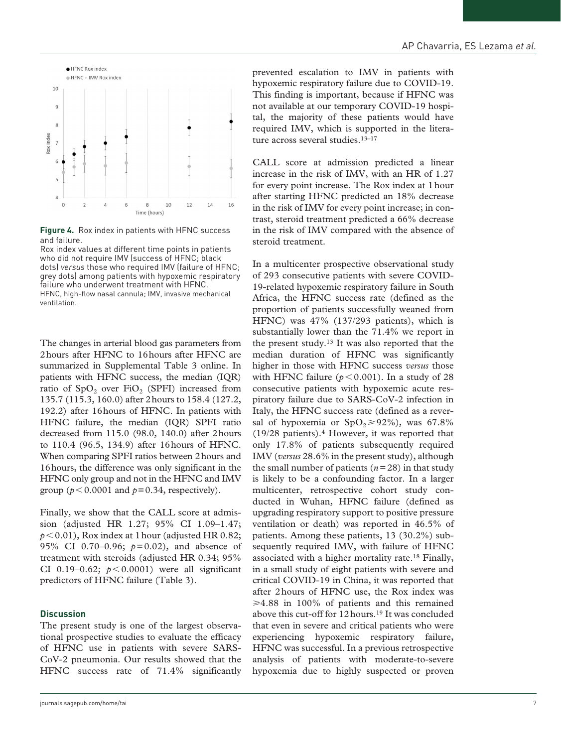



**Figure 4.** Rox index in patients with HFNC success and failure.

Rox index values at different time points in patients who did not require IMV (success of HFNC; black dots) *versus* those who required IMV (failure of HFNC; grey dots) among patients with hypoxemic respiratory failure who underwent treatment with HFNC. HFNC, high-flow nasal cannula; IMV, invasive mechanical ventilation.

The changes in arterial blood gas parameters from 2hours after HFNC to 16hours after HFNC are summarized in Supplemental Table 3 online. In patients with HFNC success, the median (IQR) ratio of SpO<sub>2</sub> over FiO<sub>2</sub> (SPFI) increased from 135.7 (115.3, 160.0) after 2hours to 158.4 (127.2, 192.2) after 16hours of HFNC. In patients with HFNC failure, the median (IQR) SPFI ratio decreased from 115.0 (98.0, 140.0) after 2hours to 110.4 (96.5, 134.9) after 16hours of HFNC. When comparing SPFI ratios between 2hours and 16hours, the difference was only significant in the HFNC only group and not in the HFNC and IMV group ( $p < 0.0001$  and  $p = 0.34$ , respectively).

Finally, we show that the CALL score at admission (adjusted HR 1.27; 95% CI 1.09–1.47;  $p < 0.01$ ), Rox index at 1 hour (adjusted HR 0.82; 95% CI 0.70–0.96; *p*=0.02), and absence of treatment with steroids (adjusted HR 0.34; 95% CI 0.19–0.62;  $p < 0.0001$ ) were all significant predictors of HFNC failure (Table 3).

## **Discussion**

The present study is one of the largest observational prospective studies to evaluate the efficacy of HFNC use in patients with severe SARS-CoV-2 pneumonia. Our results showed that the HFNC success rate of 71.4% significantly prevented escalation to IMV in patients with hypoxemic respiratory failure due to COVID-19. This finding is important, because if HFNC was not available at our temporary COVID-19 hospital, the majority of these patients would have required IMV, which is supported in the literature across several studies.<sup>13-17</sup>

CALL score at admission predicted a linear increase in the risk of IMV, with an HR of 1.27 for every point increase. The Rox index at 1hour after starting HFNC predicted an 18% decrease in the risk of IMV for every point increase; in contrast, steroid treatment predicted a 66% decrease in the risk of IMV compared with the absence of steroid treatment.

In a multicenter prospective observational study of 293 consecutive patients with severe COVID-19-related hypoxemic respiratory failure in South Africa, the HFNC success rate (defined as the proportion of patients successfully weaned from HFNC) was 47% (137/293 patients), which is substantially lower than the 71.4% we report in the present study.13 It was also reported that the median duration of HFNC was significantly higher in those with HFNC success *versus* those with HFNC failure  $(p < 0.001)$ . In a study of 28 consecutive patients with hypoxemic acute respiratory failure due to SARS-CoV-2 infection in Italy, the HFNC success rate (defined as a reversal of hypoxemia or  $SpO<sub>2</sub> \ge 92\%$ , was 67.8%  $(19/28 \text{ patients})$ .<sup>4</sup> However, it was reported that only 17.8% of patients subsequently required IMV (*versus* 28.6% in the present study), although the small number of patients  $(n=28)$  in that study is likely to be a confounding factor. In a larger multicenter, retrospective cohort study conducted in Wuhan, HFNC failure (defined as upgrading respiratory support to positive pressure ventilation or death) was reported in 46.5% of patients. Among these patients, 13 (30.2%) subsequently required IMV, with failure of HFNC associated with a higher mortality rate.18 Finally, in a small study of eight patients with severe and critical COVID-19 in China, it was reported that after 2hours of HFNC use, the Rox index was  $\geq 4.88$  in 100% of patients and this remained above this cut-off for 12hours.19 It was concluded that even in severe and critical patients who were experiencing hypoxemic respiratory failure, HFNC was successful. In a previous retrospective analysis of patients with moderate-to-severe hypoxemia due to highly suspected or proven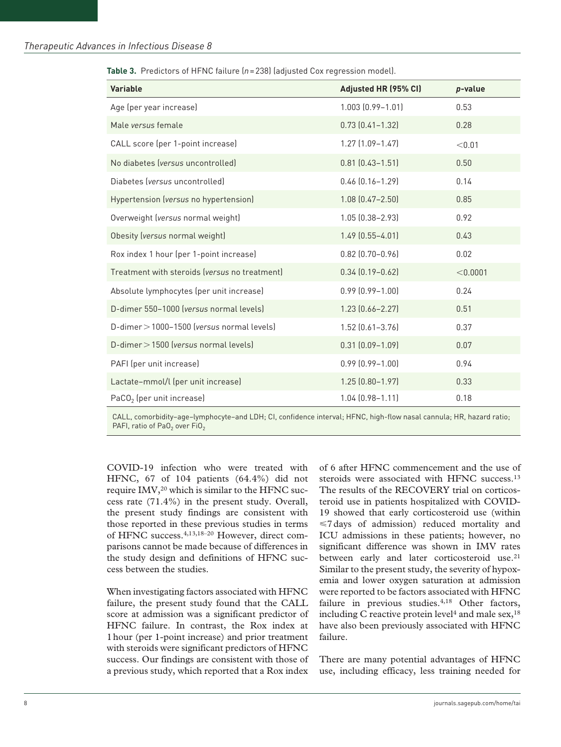| <b>Variable</b>                               | Adjusted HR (95% CI)    | p-value  |
|-----------------------------------------------|-------------------------|----------|
| Age (per year increase)                       | $1.003$ $(0.99 - 1.01)$ | 0.53     |
| Male versus female                            | $0.73$ $(0.41 - 1.32)$  | 0.28     |
| CALL score (per 1-point increase)             | $1.27$ $(1.09 - 1.47)$  | < 0.01   |
| No diabetes (versus uncontrolled)             | $0.81$ $(0.43 - 1.51)$  | 0.50     |
| Diabetes (versus uncontrolled)                | $0.46$ $(0.16 - 1.29)$  | 0.14     |
| Hypertension (versus no hypertension)         | $1.08$ $(0.47 - 2.50)$  | 0.85     |
| Overweight (versus normal weight)             | 1.05 (0.38-2.93)        | 0.92     |
| Obesity (versus normal weight)                | $1.49$ $(0.55 - 4.01)$  | 0.43     |
| Rox index 1 hour (per 1-point increase)       | $0.82$ $(0.70 - 0.96)$  | 0.02     |
| Treatment with steroids (versus no treatment) | $0.34$ $(0.19 - 0.62)$  | < 0.0001 |
| Absolute lymphocytes (per unit increase)      | $0.99$ $(0.99 - 1.00)$  | 0.24     |
| D-dimer 550-1000 (versus normal levels)       | $1.23$ $[0.66 - 2.27]$  | 0.51     |
| D-dimer > 1000-1500 (versus normal levels)    | $1.52$ $(0.61 - 3.76)$  | 0.37     |
| D-dimer > 1500 (versus normal levels)         | $0.31$ $(0.09 - 1.09)$  | 0.07     |
| PAFI (per unit increase)                      | $0.99$ $(0.99 - 1.00)$  | 0.94     |
| Lactate-mmol/l (per unit increase)            | $1.25$ $(0.80 - 1.97)$  | 0.33     |
| $PaCO2$ (per unit increase)                   | $1.04$ $(0.98 - 1.11)$  | 0.18     |

**Table 3.** Predictors of HFNC failure (*n*=238) (adjusted Cox regression model).

CALL, comorbidity–age–lymphocyte–and LDH; CI, confidence interval; HFNC, high-flow nasal cannula; HR, hazard ratio; PAFI, ratio of PaO<sub>2</sub> over FiO<sub>2</sub>

COVID-19 infection who were treated with HFNC, 67 of 104 patients (64.4%) did not require IMV,<sup>20</sup> which is similar to the HFNC success rate (71.4%) in the present study. Overall, the present study findings are consistent with those reported in these previous studies in terms of HFNC success.4,13,18–20 However, direct comparisons cannot be made because of differences in the study design and definitions of HFNC success between the studies.

When investigating factors associated with HFNC failure, the present study found that the CALL score at admission was a significant predictor of HFNC failure. In contrast, the Rox index at 1hour (per 1-point increase) and prior treatment with steroids were significant predictors of HFNC success. Our findings are consistent with those of a previous study, which reported that a Rox index

of 6 after HFNC commencement and the use of steroids were associated with HFNC success.<sup>13</sup> The results of the RECOVERY trial on corticosteroid use in patients hospitalized with COVID-19 showed that early corticosteroid use (within  $\leq$ 7 days of admission) reduced mortality and ICU admissions in these patients; however, no significant difference was shown in IMV rates between early and later corticosteroid use.<sup>21</sup> Similar to the present study, the severity of hypoxemia and lower oxygen saturation at admission were reported to be factors associated with HFNC failure in previous studies.<sup>4,18</sup> Other factors, including C reactive protein level<sup>4</sup> and male sex,  $18$ have also been previously associated with HFNC failure.

There are many potential advantages of HFNC use, including efficacy, less training needed for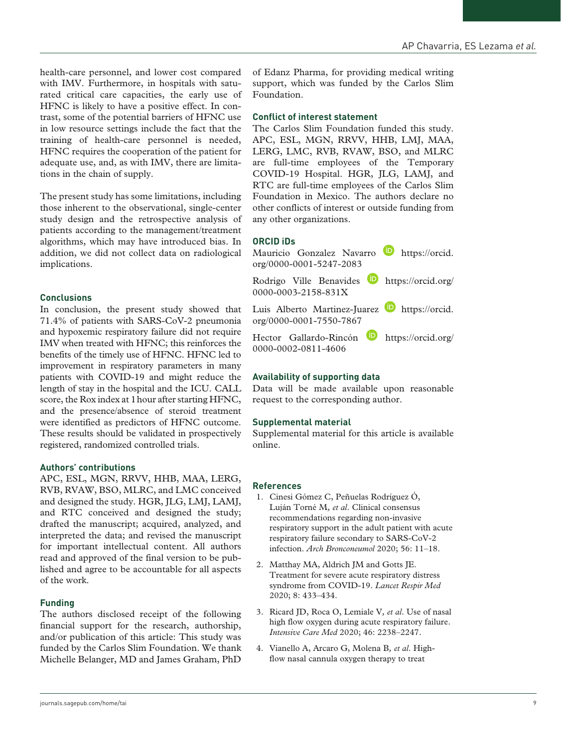health-care personnel, and lower cost compared with IMV. Furthermore, in hospitals with saturated critical care capacities, the early use of HFNC is likely to have a positive effect. In contrast, some of the potential barriers of HFNC use in low resource settings include the fact that the training of health-care personnel is needed, HFNC requires the cooperation of the patient for adequate use, and, as with IMV, there are limitations in the chain of supply.

The present study has some limitations, including those inherent to the observational, single-center study design and the retrospective analysis of patients according to the management/treatment algorithms, which may have introduced bias. In addition, we did not collect data on radiological implications.

## **Conclusions**

In conclusion, the present study showed that 71.4% of patients with SARS-CoV-2 pneumonia and hypoxemic respiratory failure did not require IMV when treated with HFNC; this reinforces the benefits of the timely use of HFNC. HFNC led to improvement in respiratory parameters in many patients with COVID-19 and might reduce the length of stay in the hospital and the ICU. CALL score, the Rox index at 1hour after starting HFNC, and the presence/absence of steroid treatment were identified as predictors of HFNC outcome. These results should be validated in prospectively registered, randomized controlled trials.

## **Authors' contributions**

APC, ESL, MGN, RRVV, HHB, MAA, LERG, RVB, RVAW, BSO, MLRC, and LMC conceived and designed the study. HGR, JLG, LMJ, LAMJ, and RTC conceived and designed the study; drafted the manuscript; acquired, analyzed, and interpreted the data; and revised the manuscript for important intellectual content. All authors read and approved of the final version to be published and agree to be accountable for all aspects of the work.

# **Funding**

The authors disclosed receipt of the following financial support for the research, authorship, and/or publication of this article: This study was funded by the Carlos Slim Foundation. We thank Michelle Belanger, MD and James Graham, PhD

of Edanz Pharma, for providing medical writing support, which was funded by the Carlos Slim Foundation.

#### **Conflict of interest statement**

The Carlos Slim Foundation funded this study. APC, ESL, MGN, RRVV, HHB, LMJ, MAA, LERG, LMC, RVB, RVAW, BSO, and MLRC are full-time employees of the Temporary COVID-19 Hospital. HGR, JLG, LAMJ, and RTC are full-time employees of the Carlos Slim Foundation in Mexico. The authors declare no other conflicts of interest or outside funding from any other organizations.

## **ORCID iDs**



# **Availability of supporting data**

Data will be made available upon reasonable request to the corresponding author.

## **Supplemental material**

Supplemental material for this article is available online.

## **References**

- 1. Cinesi Gómez C, Peñuelas Rodríguez Ó, Luján Torné M*, et al*. Clinical consensus recommendations regarding non-invasive respiratory support in the adult patient with acute respiratory failure secondary to SARS-CoV-2 infection. *Arch Bronconeumol* 2020; 56: 11–18.
- 2. Matthay MA, Aldrich JM and Gotts JE. Treatment for severe acute respiratory distress syndrome from COVID-19. *Lancet Respir Med* 2020; 8: 433–434.
- 3. Ricard JD, Roca O, Lemiale V*, et al*. Use of nasal high flow oxygen during acute respiratory failure. *Intensive Care Med* 2020; 46: 2238–2247.
- 4. Vianello A, Arcaro G, Molena B*, et al*. Highflow nasal cannula oxygen therapy to treat